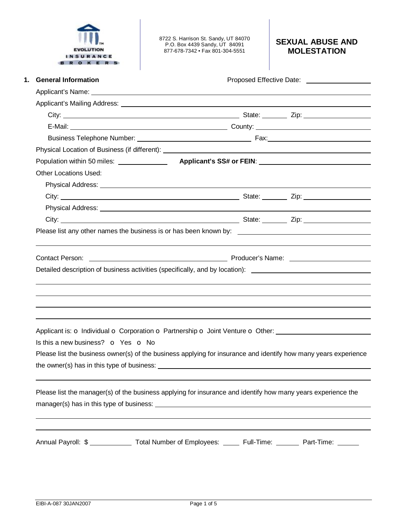

8722 S. Harrison St. Sandy, UT 84070 P.O. Box 4439 Sandy, UT 84091 877-678-7342 • Fax 801-304-5551

# **SEXUAL ABUSE AND MOLESTATION**

| <b>General Information</b><br>1.   | Proposed Effective Date: Noted that the proposed $\blacksquare$                                                                                                                                                                                                                                                                                  |
|------------------------------------|--------------------------------------------------------------------------------------------------------------------------------------------------------------------------------------------------------------------------------------------------------------------------------------------------------------------------------------------------|
|                                    | Applicant's Name: <u>example and a series of the series of the series of the series of the series of the series of the series of the series of the series of the series of the series of the series of the series of the series </u>                                                                                                             |
|                                    |                                                                                                                                                                                                                                                                                                                                                  |
|                                    |                                                                                                                                                                                                                                                                                                                                                  |
|                                    |                                                                                                                                                                                                                                                                                                                                                  |
|                                    |                                                                                                                                                                                                                                                                                                                                                  |
|                                    |                                                                                                                                                                                                                                                                                                                                                  |
|                                    |                                                                                                                                                                                                                                                                                                                                                  |
| <b>Other Locations Used:</b>       |                                                                                                                                                                                                                                                                                                                                                  |
|                                    |                                                                                                                                                                                                                                                                                                                                                  |
|                                    |                                                                                                                                                                                                                                                                                                                                                  |
|                                    |                                                                                                                                                                                                                                                                                                                                                  |
|                                    |                                                                                                                                                                                                                                                                                                                                                  |
|                                    |                                                                                                                                                                                                                                                                                                                                                  |
|                                    | ,我们也不会有什么?""我们的人,我们也不会有什么?""我们的人,我们也不会有什么?""我们的人,我们也不会有什么?""我们的人,我们也不会有什么?""我们的人<br>Applicant is: $\sigma$ Individual $\sigma$ Corporation $\sigma$ Partnership $\sigma$ Joint Venture $\sigma$ Other:                                                                                                                                           |
| Is this a new business? o Yes o No |                                                                                                                                                                                                                                                                                                                                                  |
|                                    | Please list the business owner(s) of the business applying for insurance and identify how many years experience<br>the owner(s) has in this type of business: the state of the state of the state of the state of the state of the state of the state of the state of the state of the state of the state of the state of the state of the state |
|                                    | Please list the manager(s) of the business applying for insurance and identify how many years experience the                                                                                                                                                                                                                                     |
|                                    | Annual Payroll: \$ ______________ Total Number of Employees: ______ Full-Time: _______ Part-Time: ______                                                                                                                                                                                                                                         |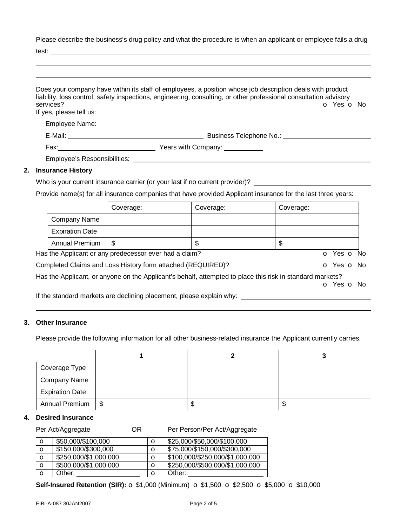Please describe the business's drug policy and what the procedure is when an applicant or employee fails a drug test:

| test:                                |                                                                                                                                                                                                                                              |
|--------------------------------------|----------------------------------------------------------------------------------------------------------------------------------------------------------------------------------------------------------------------------------------------|
|                                      |                                                                                                                                                                                                                                              |
|                                      |                                                                                                                                                                                                                                              |
|                                      |                                                                                                                                                                                                                                              |
| services?<br>If yes, please tell us: | Does your company have within its staff of employees, a position whose job description deals with product<br>liability, loss control, safety inspections, engineering, consulting, or other professional consultation advisory<br>o Yes o No |
| Employee Name: ______________        |                                                                                                                                                                                                                                              |
|                                      |                                                                                                                                                                                                                                              |
| Fax: _________________________       | Years with Company: __________                                                                                                                                                                                                               |
|                                      |                                                                                                                                                                                                                                              |

Employee's Responsibilities:

### **2. Insurance History**

Who is your current insurance carrier (or your last if no current provider)?

Provide name(s) for all insurance companies that have provided Applicant insurance for the last three years:

|                        | Coverage:                                                            | Coverage:                                                                                                 | Coverage:  |
|------------------------|----------------------------------------------------------------------|-----------------------------------------------------------------------------------------------------------|------------|
| Company Name           |                                                                      |                                                                                                           |            |
| <b>Expiration Date</b> |                                                                      |                                                                                                           |            |
| Annual Premium         | \$                                                                   | \$                                                                                                        | \$         |
|                        | Has the Applicant or any predecessor ever had a claim?               |                                                                                                           | o Yes o No |
|                        | Completed Claims and Loss History form attached (REQUIRED)?          |                                                                                                           | O Yes O No |
|                        |                                                                      | Has the Applicant, or anyone on the Applicant's behalf, attempted to place this risk in standard markets? | O Yes O No |
|                        | If the standard markets are declining placement, please explain why: |                                                                                                           |            |

#### **3. Other Insurance**

Please provide the following information for all other business-related insurance the Applicant currently carries.

| Coverage Type          |  |   |
|------------------------|--|---|
| <b>Company Name</b>    |  |   |
| <b>Expiration Date</b> |  |   |
| Annual Premium   \$    |  | Œ |

#### **4. Desired Insurance**

### Per Act/Aggregate **OR** Per Person/Per Act/Aggregate

| O | \$50,000/\$100,000    | О | \$25,000/\$50,000/\$100,000     |
|---|-----------------------|---|---------------------------------|
| O | \$150,000/\$300,000   | O | \$75,000/\$150,000/\$300,000    |
| O | \$250,000/\$1,000,000 | O | \$100,000/\$250,000/\$1,000,000 |
| O | \$500,000/\$1,000,000 | O | \$250,000/\$500,000/\$1,000,000 |
| O | Other:                | О | Other:                          |

**Self-Insured Retention (SIR):** o \$1,000 (Minimum) o \$1,500 o \$2,500 o \$5,000 o \$10,000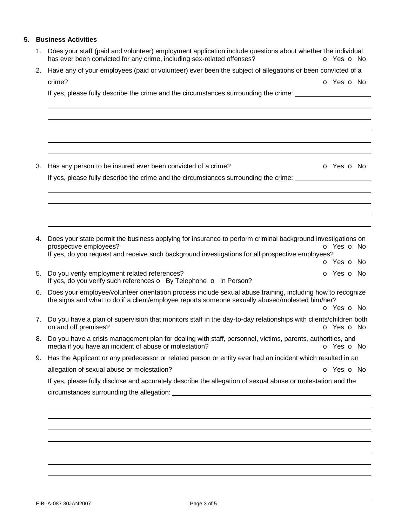## **5. Business Activities**

|    | 1. Does your staff (paid and volunteer) employment application include questions about whether the individual<br>has ever been convicted for any crime, including sex-related offenses?                          | o Yes o No |
|----|------------------------------------------------------------------------------------------------------------------------------------------------------------------------------------------------------------------|------------|
|    | 2. Have any of your employees (paid or volunteer) ever been the subject of allegations or been convicted of a                                                                                                    |            |
|    | crime?                                                                                                                                                                                                           | o Yes o No |
|    | If yes, please fully describe the crime and the circumstances surrounding the crime:                                                                                                                             |            |
|    |                                                                                                                                                                                                                  |            |
|    |                                                                                                                                                                                                                  |            |
|    |                                                                                                                                                                                                                  |            |
| 3. | Has any person to be insured ever been convicted of a crime?                                                                                                                                                     | o Yes o No |
|    | If yes, please fully describe the crime and the circumstances surrounding the crime:                                                                                                                             |            |
|    |                                                                                                                                                                                                                  |            |
|    |                                                                                                                                                                                                                  |            |
|    |                                                                                                                                                                                                                  |            |
| 4. | Does your state permit the business applying for insurance to perform criminal background investigations on<br>prospective employees?                                                                            | o Yes o No |
|    | If yes, do you request and receive such background investigations for all prospective employees?                                                                                                                 | o Yes o No |
| 5. | Do you verify employment related references?<br>If yes, do you verify such references o By Telephone o In Person?                                                                                                | o Yes o No |
|    | 6. Does your employee/volunteer orientation process include sexual abuse training, including how to recognize<br>the signs and what to do if a client/employee reports someone sexually abused/molested him/her? | o Yes o No |
| 7. | Do you have a plan of supervision that monitors staff in the day-to-day relationships with clients/children both<br>on and off premises?                                                                         | o Yes o No |
|    | 8. Do you have a crisis management plan for dealing with staff, personnel, victims, parents, authorities, and<br>media if you have an incident of abuse or molestation?                                          | o Yes o No |
| 9. | Has the Applicant or any predecessor or related person or entity ever had an incident which resulted in an                                                                                                       |            |
|    | allegation of sexual abuse or molestation?                                                                                                                                                                       | o Yes o No |
|    | If yes, please fully disclose and accurately describe the allegation of sexual abuse or molestation and the                                                                                                      |            |
|    |                                                                                                                                                                                                                  |            |
|    |                                                                                                                                                                                                                  |            |
|    |                                                                                                                                                                                                                  |            |
|    |                                                                                                                                                                                                                  |            |
|    |                                                                                                                                                                                                                  |            |
|    |                                                                                                                                                                                                                  |            |
|    |                                                                                                                                                                                                                  |            |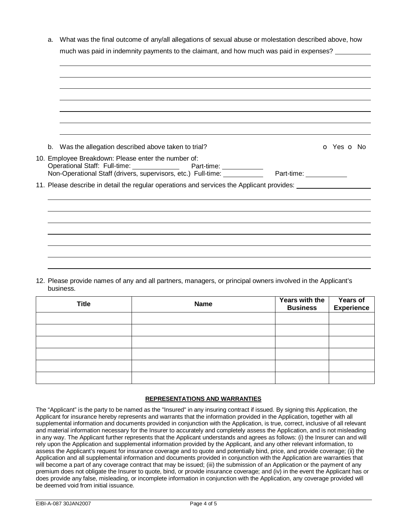| a. What was the final outcome of any/all allegations of sexual abuse or molestation described above, how |
|----------------------------------------------------------------------------------------------------------|
| much was paid in indemnity payments to the claimant, and how much was paid in expenses?                  |

|  | b. Was the allegation described above taken to trial?                                                                                                                                                                               |                         | o Yes o No |
|--|-------------------------------------------------------------------------------------------------------------------------------------------------------------------------------------------------------------------------------------|-------------------------|------------|
|  | 10. Employee Breakdown: Please enter the number of:<br>Operational Staff: Full-time: _______________ Part-time: ___________<br>Non-Operational Staff (drivers, supervisors, etc.) Full-time: Ventilianal Channel Control Pull-time: | Part-time: ____________ |            |
|  | 11. Please describe in detail the regular operations and services the Applicant provides: ________________                                                                                                                          |                         |            |
|  |                                                                                                                                                                                                                                     |                         |            |
|  |                                                                                                                                                                                                                                     |                         |            |
|  |                                                                                                                                                                                                                                     |                         |            |

12. Please provide names of any and all partners, managers, or principal owners involved in the Applicant's business.

| <b>Title</b> | <b>Name</b> | Years with the<br><b>Business</b> | Years of<br>Experience |
|--------------|-------------|-----------------------------------|------------------------|
|              |             |                                   |                        |
|              |             |                                   |                        |
|              |             |                                   |                        |
|              |             |                                   |                        |
|              |             |                                   |                        |
|              |             |                                   |                        |

#### **REPRESENTATIONS AND WARRANTIES**

The "Applicant" is the party to be named as the "Insured" in any insuring contract if issued. By signing this Application, the Applicant for insurance hereby represents and warrants that the information provided in the Application, together with all supplemental information and documents provided in conjunction with the Application, is true, correct, inclusive of all relevant and material information necessary for the Insurer to accurately and completely assess the Application, and is not misleading in any way. The Applicant further represents that the Applicant understands and agrees as follows: (i) the Insurer can and will rely upon the Application and supplemental information provided by the Applicant, and any other relevant information, to assess the Applicant's request for insurance coverage and to quote and potentially bind, price, and provide coverage; (ii) the Application and all supplemental information and documents provided in conjunction with the Application are warranties that will become a part of any coverage contract that may be issued; (iii) the submission of an Application or the payment of any premium does not obligate the Insurer to quote, bind, or provide insurance coverage; and (iv) in the event the Applicant has or does provide any false, misleading, or incomplete information in conjunction with the Application, any coverage provided will be deemed void from initial issuance.